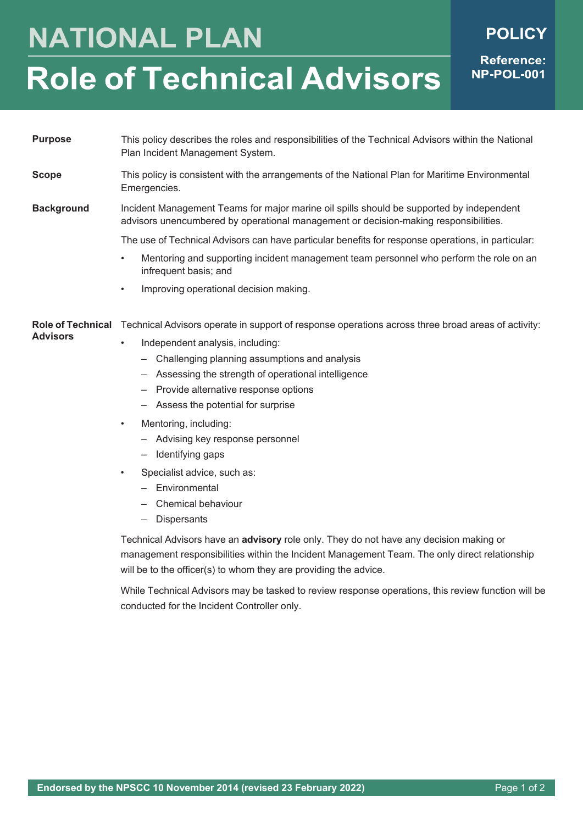## **NATIONAL PLAN**

**Reference:** 

NP-POL-001

## **Role of Technical Advisors**

**Purpose** This policy describes the roles and responsibilities of the Technical Advisors within the National Plan Incident Management System.

**Scope** This policy is consistent with the arrangements of the National Plan for Maritime Environmental Emergencies.

## **Background** Incident Management Teams for major marine oil spills should be supported by independent advisors unencumbered by operational management or decision-making responsibilities.

The use of Technical Advisors can have particular benefits for response operations, in particular:

- Mentoring and supporting incident management team personnel who perform the role on an infrequent basis; and
- Improving operational decision making.

**Role of Technical** Technical Advisors operate in support of response operations across three broad areas of activity:

- Independent analysis, including:
	- Challenging planning assumptions and analysis
	- Assessing the strength of operational intelligence
	- Provide alternative response options
	- Assess the potential for surprise
- Mentoring, including:

**Advisors**

- Advising key response personnel
- Identifying gaps
- Specialist advice, such as:
	- Environmental
	- Chemical behaviour
	- Dispersants

Technical Advisors have an **advisory** role only. They do not have any decision making or management responsibilities within the Incident Management Team. The only direct relationship will be to the officer(s) to whom they are providing the advice.

While Technical Advisors may be tasked to review response operations, this review function will be conducted for the Incident Controller only.